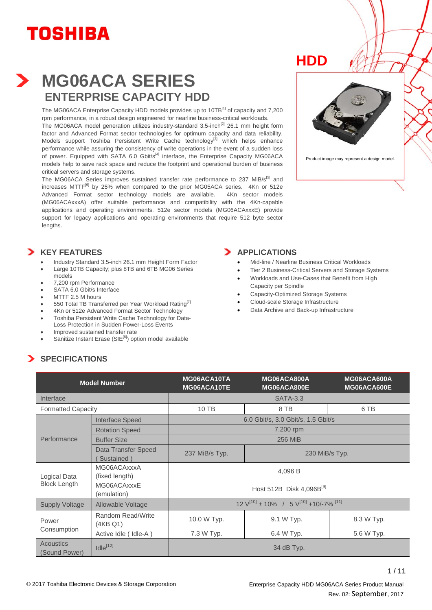

### **MG06ACA SERIES ENTERPRISE CAPACITY HDD**

The MG06ACA Enterprise Capacity HDD models provides up to 10TB[1] of capacity and 7,200 rpm performance, in a robust design engineered for nearline business-critical workloads.

The MG06ACA model generation utilizes industry-standard  $3.5$ -inch<sup>[2]</sup> 26.1 mm height form factor and Advanced Format sector technologies for optimum capacity and data reliability. Models support Toshiba Persistent Write Cache technology<sup>[3]</sup> which helps enhance performance while assuring the consistency of write operations in the event of a sudden loss of power. Equipped with SATA 6.0 Gbit/ $s^{[4]}$  interface, the Enterprise Capacity MG06ACA models help to save rack space and reduce the footprint and operational burden of business critical servers and storage systems.

The MG06ACA Series improves sustained transfer rate performance to 237 MiB/s<sup>[5]</sup> and increases MTTF<sup>[6]</sup> by 25% when compared to the prior MG05ACA series. 4Kn or 512e Advanced Format sector technology models are available. 4Kn sector models (MG06ACAxxxA) offer suitable performance and compatibility with the 4Kn-capable applications and operating environments. 512e sector models (MG06ACAxxxE) provide support for legacy applications and operating environments that require 512 byte sector lengths.





Product image may represent a design model.

#### **KEY FEATURES**

- Industry Standard 3.5-inch 26.1 mm Height Form Factor
- Large 10TB Capacity; plus 8TB and 6TB MG06 Series models
- 7,200 rpm Performance
- SATA 6.0 Gbit/s Interface
- MTTF 2.5 M hours
- 550 Total TB Transferred per Year Workload Rating<sup>[7]</sup>
- 4Kn or 512e Advanced Format Sector Technology • Toshiba Persistent Write Cache Technology for Data-
- Loss Protection in Sudden Power-Loss Events • Improved sustained transfer rate
- Sanitize Instant Erase (SIE<sup>[8]</sup>) option model available

#### **APPLICATIONS**

- Mid-line / Nearline Business Critical Workloads
- Tier 2 Business-Critical Servers and Storage Systems
- Workloads and Use-Cases that Benefit from High Capacity per Spindle
- Capacity-Optimized Storage Systems
- Cloud-scale Storage Infrastructure
- Data Archive and Back-up Infrastructure

### **SPECIFICATIONS**

| <b>Model Number</b>                 |                                   | MG06ACA10TA<br>MG06ACA10TE                                             | MG06ACA800A<br>MG06ACA800E         | MG06ACA600A<br>MG06ACA600E |  |
|-------------------------------------|-----------------------------------|------------------------------------------------------------------------|------------------------------------|----------------------------|--|
| Interface                           |                                   |                                                                        | <b>SATA-3.3</b>                    |                            |  |
| <b>Formatted Capacity</b>           |                                   | 10 TB<br>8 TB                                                          |                                    | 6 TB                       |  |
| <b>Interface Speed</b>              |                                   |                                                                        | 6.0 Gbit/s, 3.0 Gbit/s, 1.5 Gbit/s |                            |  |
|                                     | <b>Rotation Speed</b>             |                                                                        | 7,200 rpm                          |                            |  |
| Performance                         | <b>Buffer Size</b>                |                                                                        | 256 MiB                            |                            |  |
|                                     | Data Transfer Speed<br>Sustained) | 237 MiB/s Typ.                                                         | 230 MiB/s Typ.                     |                            |  |
| Logical Data<br><b>Block Length</b> | MG06ACAxxxA<br>(fixed length)     | 4,096 B                                                                |                                    |                            |  |
|                                     | MG06ACAxxxE<br>(emulation)        | Host 512B Disk 4,096B <sup>[9]</sup>                                   |                                    |                            |  |
| <b>Supply Voltage</b>               | Allowable Voltage                 | $12 \text{ V}^{[10]} \pm 10\%$ / 5 $\text{V}^{[10]}$ +10/-7% $^{[11]}$ |                                    |                            |  |
| Power                               | Random Read/Write<br>(4KB Q1)     | 10.0 W Typ.                                                            | 9.1 W Typ.                         | 8.3 W Typ.                 |  |
| Consumption                         | Active Idle (Idle-A)              | 7.3 W Typ.                                                             | 6.4 W Typ.                         | 5.6 W Typ.                 |  |
| <b>Acoustics</b><br>(Sound Power)   | $Idle^{[12]}$                     | 34 dB Typ.                                                             |                                    |                            |  |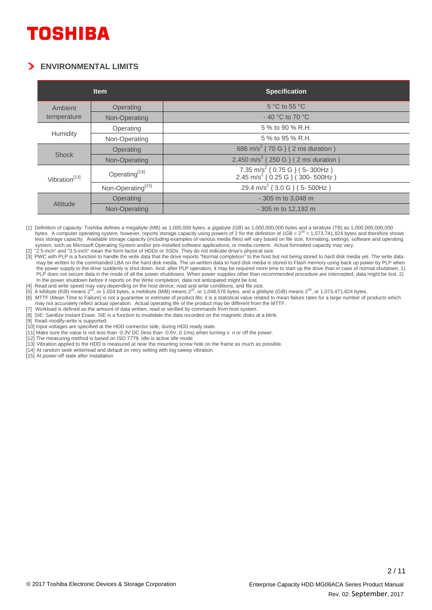#### **ENVIRONMENTAL LIMITS**

|                           | <b>Item</b>                   | <b>Specification</b>                                                                             |  |  |
|---------------------------|-------------------------------|--------------------------------------------------------------------------------------------------|--|--|
| Ambient                   | Operating                     | $5^{\circ}$ C to 55 $^{\circ}$ C                                                                 |  |  |
| temperature               | Non-Operating                 | $-40$ °C to 70 °C                                                                                |  |  |
|                           | Operating                     | 5 % to 90 % R.H.                                                                                 |  |  |
| Humidity                  | Non-Operating                 | 5 % to 95 % R.H.                                                                                 |  |  |
| <b>Shock</b>              | Operating                     | 686 m/s <sup>2</sup> { 70 G } ( 2 ms duration )                                                  |  |  |
|                           | Non-Operating                 | 2,450 m/s <sup>2</sup> { 250 G } ( 2 ms duration )                                               |  |  |
| Vibration <sup>[13]</sup> | Operating <sup>[14]</sup>     | 7.35 m/s <sup>2</sup> { 0.75 G } ( 5- 300Hz )<br>2.45 m/s <sup>2</sup> { 0.25 G } ( 300- 500Hz ) |  |  |
|                           | Non-Operating <sup>[15]</sup> | 29.4 m/s <sup>2</sup> { 3.0 G } (5-500Hz)                                                        |  |  |
| Altitude                  | Operating                     | - 305 m to 3,048 m                                                                               |  |  |
|                           | Non-Operating                 | - 305 m to 12,192 m                                                                              |  |  |

[1] Definition of capacity: Toshiba defines a megabyte (MB) as 1,000,000 bytes, a gigabyte (GB) as 1,000,000,000 bytes and a terabyte (TB) as 1,000,000,000,000 bytes. A computer operating system, however, reports storage capacity using powers of 2 for the definition of 1GB =  $2^{30}$  = 1,073,741,824 bytes and therefore shows less storage capacity. Available storage capacity (including examples of various media files) will vary based on file size, formatting, settings, software and operating system, such as Microsoft Operating System and/or pre-installed software applications, or media content. Actual formatted capacity may vary. [2] "2.5-inch" and "3.5-inch" mean the form factor of HDDs or SSDs. They do not indicate drive's physical size.

[3] PWC with PLP is a function to handle the write data that the drive reports "Normal completion" to the host but not being stored to hard disk media yet. The write data may be written to the commanded LBA on the hard disk media. The un-written data to hard disk media is stored to Flash memory using back up power by PLP when the power supply to the drive suddenly is shut down. And, after PLP operation, it may be required more time to start up the drive than in case of normal shutdown. 1) PLP does not secure data in the mode of all the power shutdowns. When power supplies other than recommended procedure are intercepted, data might be lost. 2) In the power shutdown before it reports on the Write completion, data not anticipated might be lost.

[4] Read and write speed may vary depending on the host device, read and write conditions, and file size.<br>[5] A kibibyte (KiB) means 2<sup>10</sup>, or 1,024 bytes, a mebibyte (MiB) means 2<sup>20</sup>, or 1,048,576 bytes, and a gibibyte (

[6] MTTF (Mean Time to Failure) is not a guarantee or estimate of product life; it is a statistical value related to mean failure rates for a large number of products which may not accurately reflect actual operation. Actual operating life of the product may be different from the MTTF.

[7] Workload is defined as the amount of data written, read or verified by commands from host system.<br>[8] SIE: Sanitize Instant Erase. SIE is a function to invalidate the data recorded on the magnetic disks a

SIE: Sanitize Instant Erase. SIE is a function to invalidate the data recorded on the magnetic disks at a blink.

[9] Read–modify-write is supported.

[10] Input voltages are specified at the HDD connector side, during HDD ready state.

[11] Make sure the value is not less than -0.3V DC (less than -0.6V, 0.1ms) when turning o n or off the power.

[12] The measuring method is based on ISO 7779. Idle is active idle mode

[13] Vibration applied to the HDD is measured at near the mounting screw hole on the frame as much as possible.

[14] At random seek write/read and default on retry setting with log sweep vibration.

[15] At power-off state after installation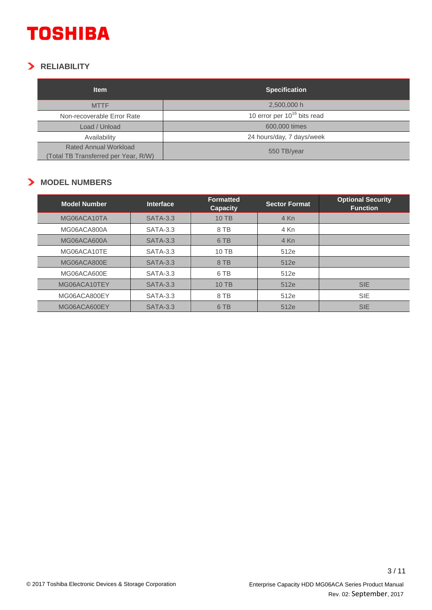### **RELIABILITY**

| <b>Item</b>                                                          | <b>Specification</b>             |  |  |
|----------------------------------------------------------------------|----------------------------------|--|--|
| <b>MTTF</b>                                                          | 2,500,000 h                      |  |  |
| Non-recoverable Error Rate                                           | 10 error per $10^{16}$ bits read |  |  |
| Load / Unload                                                        | 600,000 times                    |  |  |
| Availability                                                         | 24 hours/day, 7 days/week        |  |  |
| <b>Rated Annual Workload</b><br>(Total TB Transferred per Year, R/W) | 550 TB/year                      |  |  |

#### **MODEL NUMBERS**

| <b>Model Number</b> | <b>Interface</b> | <b>Formatted</b><br><b>Capacity</b> | <b>Sector Format</b> | <b>Optional Security</b><br><b>Function</b> |
|---------------------|------------------|-------------------------------------|----------------------|---------------------------------------------|
| MG06ACA10TA         | <b>SATA-3.3</b>  | 10 TB                               | 4 Kn                 |                                             |
| MG06ACA800A         | <b>SATA-3.3</b>  | 8 TB                                | 4 Kn                 |                                             |
| MG06ACA600A         | <b>SATA-3.3</b>  | 6 TB                                | 4 Kn                 |                                             |
| MG06ACA10TE         | <b>SATA-3.3</b>  | 10 TB                               | 512e                 |                                             |
| MG06ACA800E         | <b>SATA-3.3</b>  | 8 TB                                | 512e                 |                                             |
| MG06ACA600E         | <b>SATA-3.3</b>  | 6 TB                                | 512e                 |                                             |
| MG06ACA10TEY        | <b>SATA-3.3</b>  | 10 TB                               | 512e                 | <b>SIE</b>                                  |
| MG06ACA800EY        | <b>SATA-3.3</b>  | 8 TB                                | 512e                 | <b>SIE</b>                                  |
| MG06ACA600EY        | <b>SATA-3.3</b>  | 6 TB                                | 512e                 | <b>SIE</b>                                  |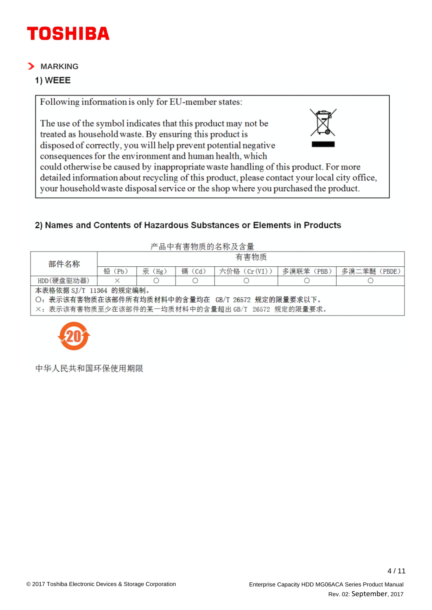#### $>$  MARKING

#### 1) WEEE

Following information is only for EU-member states:

The use of the symbol indicates that this product may not be treated as household waste. By ensuring this product is disposed of correctly, you will help prevent potential negative



consequences for the environment and human health, which could otherwise be caused by inappropriate waste handling of this product. For more detailed information about recycling of this product, please contact your local city office, your household waste disposal service or the shop where you purchased the product.

### 2) Names and Contents of Hazardous Substances or Elements in Products

| 产品中有害物质的名称及含量                                    |           |        |        |              |            |             |
|--------------------------------------------------|-----------|--------|--------|--------------|------------|-------------|
| 部件名称                                             | 有害物质      |        |        |              |            |             |
|                                                  | 铅<br>(Pb) | 汞 (Hg) | 镉 (Cd) | 六价铬 (Cr(VI)) | 多溴联苯 (PBB) | 多溴二苯醚(PBDE) |
| HDD(硬盘驱动器)                                       |           |        |        |              |            |             |
| 本表格依据 SJ/T 11364 的规定编制。                          |           |        |        |              |            |             |
| ○: 表示该有害物质在该部件所有均质材料中的含量均在 GB/T 26572 规定的限量要求以下。 |           |        |        |              |            |             |
| ×:表示该有害物质至少在该部件的某一均质材料中的含量超出 GB/T 26572 规定的限量要求。 |           |        |        |              |            |             |



中华人民共和国环保使用期限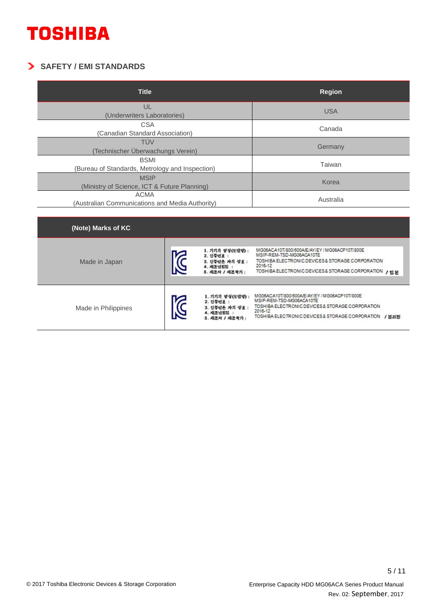### **SAFETY / EMI STANDARDS**

| <b>Title</b>                                                   | <b>Region</b> |
|----------------------------------------------------------------|---------------|
| UL<br>(Underwriters Laboratories)                              | <b>USA</b>    |
| <b>CSA</b><br>(Canadian Standard Association)                  | Canada        |
| TÜV<br>Technischer Überwachungs Verein)                        | Germany       |
| <b>BSMI</b><br>(Bureau of Standards, Metrology and Inspection) | Taiwan        |
| <b>MSIP</b><br>(Ministry of Science, ICT & Future Planning)    | Korea         |
| <b>ACMA</b><br>(Australian Communications and Media Authority) | Australia     |

| (Note) Marks of KC  |                                                                                   |                                                                                                                                                                                                     |
|---------------------|-----------------------------------------------------------------------------------|-----------------------------------------------------------------------------------------------------------------------------------------------------------------------------------------------------|
| Made in Japan       | 1. 기기의 명칭(모델명) :<br>2. 인증번호 :<br>3. 인증받은 자의 상호 :<br>4. 제조년일일 :<br>5. 제조자 / 제조국가 : | MG06ACA10T/800/600A/E/AY/EY / MG06ACP10T/800E<br>MSIP-REM-TSD-MG06ACA10TE<br>TOSHIBA ELECTRONIC DEVICES & STORAGE CORPORATION<br>2016-12<br>TOSHIBA ELECTRONIC DEVICES & STORAGE CORPORATION / 일본   |
| Made in Philippines | 1. 기기의 명칭(모델명) :<br>2. 인증면호 :<br>3. 인증받은 자의 상호 :<br>4. 제조년일일 :<br>5. 제조자 / 제조국가 : | MG06ACA10T/800/600A/E/AY/EY/MG06ACP10T/800E<br>MSIP-REM-TSD-MG06ACA10TE<br>TOSHIBA ELECTRONIC DEVICES & STORAGE CORPORATION<br>2016-12<br>TOSHIBA ELECTRONIC DEVICES & STORAGE CORPORATION<br>/ 필리핀 |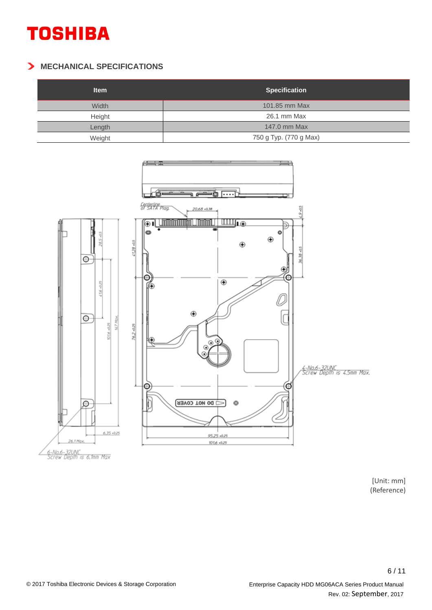#### **MECHANICAL SPECIFICATIONS**

| <b>Item</b> | <b>Specification</b>   |
|-------------|------------------------|
| Width       | 101.85 mm Max          |
| Height      | 26.1 mm Max            |
| Length      | 147.0 mm Max           |
| Weight      | 750 g Typ. (770 g Max) |



[Unit: mm] (Reference)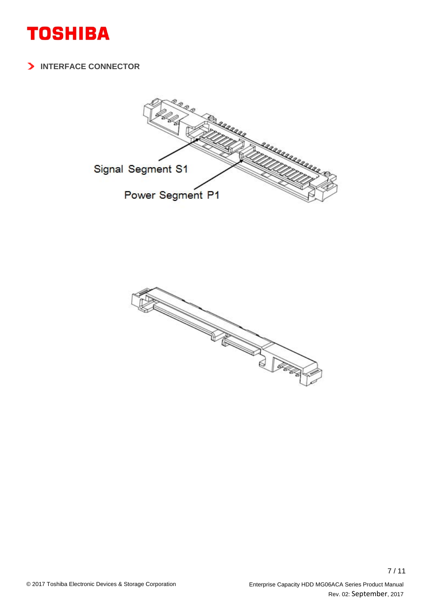

**INTERFACE CONNECTOR**



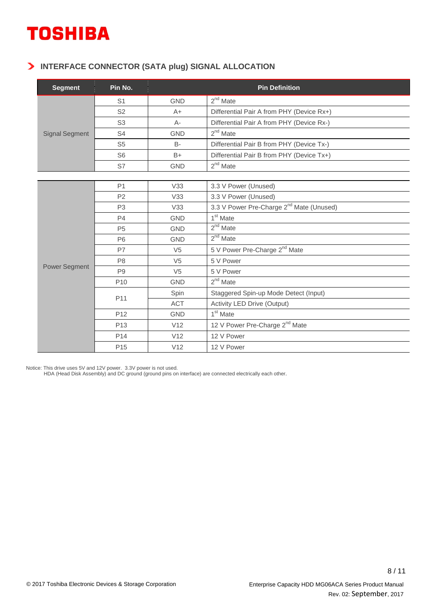#### **INTERFACE CONNECTOR (SATA plug) SIGNAL ALLOCATION**

| <b>Segment</b>        | Pin No.         | <b>Pin Definition</b> |                                                      |  |  |
|-----------------------|-----------------|-----------------------|------------------------------------------------------|--|--|
|                       | S <sub>1</sub>  | <b>GND</b>            | $2nd$ Mate                                           |  |  |
|                       | S <sub>2</sub>  | $A+$                  | Differential Pair A from PHY (Device Rx+)            |  |  |
|                       | S <sub>3</sub>  | $A -$                 | Differential Pair A from PHY (Device Rx-)            |  |  |
| <b>Signal Segment</b> | S <sub>4</sub>  | <b>GND</b>            | $2nd$ Mate                                           |  |  |
|                       | S <sub>5</sub>  | <b>B-</b>             | Differential Pair B from PHY (Device Tx-)            |  |  |
|                       | S <sub>6</sub>  | $B+$                  | Differential Pair B from PHY (Device Tx+)            |  |  |
|                       | S7              | <b>GND</b>            | $2nd$ Mate                                           |  |  |
|                       |                 |                       |                                                      |  |  |
|                       | P <sub>1</sub>  | V33                   | 3.3 V Power (Unused)                                 |  |  |
|                       | P <sub>2</sub>  | V33                   | 3.3 V Power (Unused)                                 |  |  |
|                       | P <sub>3</sub>  | V33                   | 3.3 V Power Pre-Charge 2 <sup>nd</sup> Mate (Unused) |  |  |
|                       | P <sub>4</sub>  | <b>GND</b>            | 1 <sup>st</sup> Mate                                 |  |  |
|                       | P <sub>5</sub>  | <b>GND</b>            | $2nd$ Mate                                           |  |  |
|                       | <b>P6</b>       | <b>GND</b>            | $2nd$ Mate                                           |  |  |
|                       | P7              | V <sub>5</sub>        | 5 V Power Pre-Charge 2 <sup>nd</sup> Mate            |  |  |
|                       | P <sub>8</sub>  | V <sub>5</sub>        | 5 V Power                                            |  |  |
| Power Segment         | P <sub>9</sub>  | V <sub>5</sub>        | 5 V Power                                            |  |  |
|                       | P <sub>10</sub> | <b>GND</b>            | $2nd$ Mate                                           |  |  |
|                       |                 | Spin                  | Staggered Spin-up Mode Detect (Input)                |  |  |
|                       | P11             | ACT                   | Activity LED Drive (Output)                          |  |  |
|                       | P <sub>12</sub> | <b>GND</b>            | 1 <sup>st</sup> Mate                                 |  |  |
|                       | P <sub>13</sub> | V12                   | 12 V Power Pre-Charge 2 <sup>nd</sup> Mate           |  |  |
|                       | P14             | V12                   | 12 V Power                                           |  |  |
|                       | P <sub>15</sub> | V12                   | 12 V Power                                           |  |  |

Notice: This drive uses 5V and 12V power. 3.3V power is not used.

HDA (Head Disk Assembly) and DC ground (ground pins on interface) are connected electrically each other.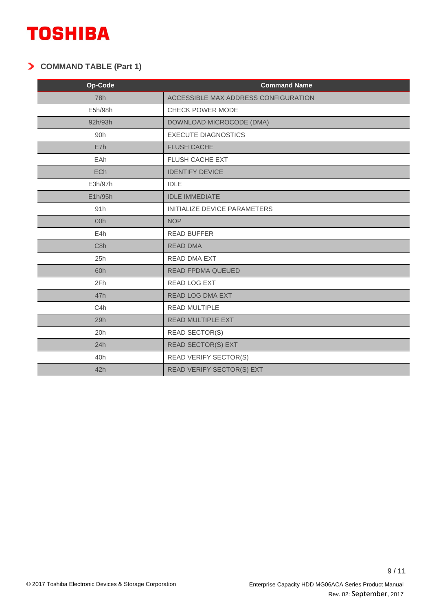### **COMMAND TABLE (Part 1)**

| Op-Code          | <b>Command Name</b>                  |
|------------------|--------------------------------------|
| 78h              | ACCESSIBLE MAX ADDRESS CONFIGURATION |
| E5h/98h          | CHECK POWER MODE                     |
| 92h/93h          | DOWNLOAD MICROCODE (DMA)             |
| 90h              | <b>EXECUTE DIAGNOSTICS</b>           |
| E7h              | <b>FLUSH CACHE</b>                   |
| EAh              | FLUSH CACHE EXT                      |
| ECh              | <b>IDENTIFY DEVICE</b>               |
| E3h/97h          | <b>IDLE</b>                          |
| E1h/95h          | <b>IDLE IMMEDIATE</b>                |
| 91h              | INITIALIZE DEVICE PARAMETERS         |
| 00h              | <b>NOP</b>                           |
| E4h              | <b>READ BUFFER</b>                   |
| C <sub>8</sub> h | <b>READ DMA</b>                      |
| 25h              | READ DMA EXT                         |
| 60h              | READ FPDMA QUEUED                    |
| 2Fh              | READ LOG EXT                         |
| 47h              | READ LOG DMA EXT                     |
| C4h              | <b>READ MULTIPLE</b>                 |
| 29h              | <b>READ MULTIPLE EXT</b>             |
| 20h              | <b>READ SECTOR(S)</b>                |
| 24h              | <b>READ SECTOR(S) EXT</b>            |
| 40h              | <b>READ VERIFY SECTOR(S)</b>         |
| 42h              | READ VERIFY SECTOR(S) EXT            |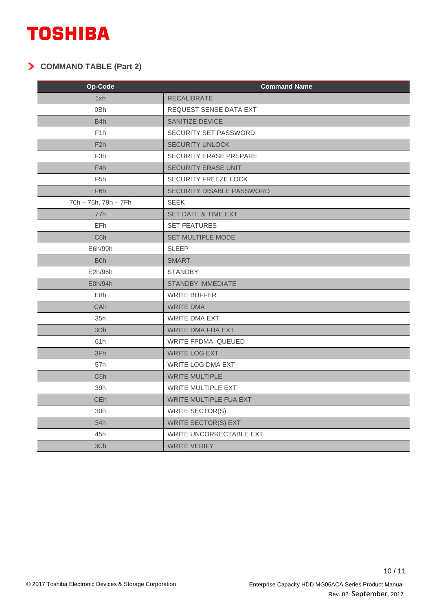### **COMMAND TABLE (Part 2)**

| Op-Code              | <b>Command Name</b>           |
|----------------------|-------------------------------|
| 1xh                  | <b>RECALIBRATE</b>            |
| 0 <sub>Bh</sub>      | <b>REQUEST SENSE DATA EXT</b> |
| B <sub>4</sub> h     | <b>SANITIZE DEVICE</b>        |
| F <sub>1</sub> h     | SECURITY SET PASSWORD         |
| F2h                  | <b>SECURITY UNLOCK</b>        |
| F <sub>3h</sub>      | <b>SECURITY ERASE PREPARE</b> |
| F4h                  | <b>SECURITY ERASE UNIT</b>    |
| F <sub>5</sub> h     | <b>SECURITY FREEZE LOCK</b>   |
| F <sub>6</sub> h     | SECURITY DISABLE PASSWORD     |
| 70h - 76h, 79h - 7Fh | <b>SEEK</b>                   |
| 77h                  | SET DATE & TIME EXT           |
| EFh.                 | <b>SET FEATURES</b>           |
| C6h                  | SET MULTIPLE MODE             |
| E6h/99h              | <b>SLEEP</b>                  |
| B <sub>0</sub> h     | <b>SMART</b>                  |
| E2h/96h              | <b>STANDBY</b>                |
| E0h/94h              | <b>STANDBY IMMEDIATE</b>      |
| E <sub>8</sub> h     | <b>WRITE BUFFER</b>           |
| CAh                  | <b>WRITE DMA</b>              |
| 35h                  | <b>WRITE DMA EXT</b>          |
| 3Dh                  | <b>WRITE DMA FUA EXT</b>      |
| 61h                  | <b>WRITE FPDMA QUEUED</b>     |
| 3Fh                  | <b>WRITE LOG EXT</b>          |
| 57h                  | WRITE LOG DMA EXT             |
| C5h                  | <b>WRITE MULTIPLE</b>         |
| 39h                  | <b>WRITE MULTIPLE EXT</b>     |
| CEh                  | WRITE MULTIPLE FUA EXT        |
| 30h                  | <b>WRITE SECTOR(S)</b>        |
| 34h                  | <b>WRITE SECTOR(S) EXT</b>    |
| 45h                  | WRITE UNCORRECTABLE EXT       |
| 3Ch                  | <b>WRITE VERIFY</b>           |